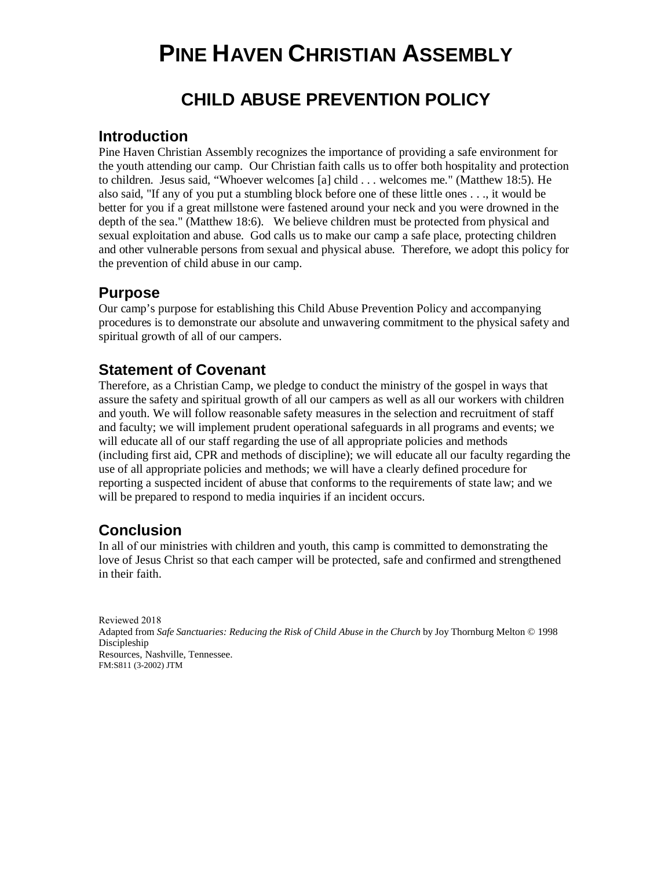# **PINE HAVEN CHRISTIAN ASSEMBLY**

# **CHILD ABUSE PREVENTION POLICY**

### **Introduction**

Pine Haven Christian Assembly recognizes the importance of providing a safe environment for the youth attending our camp. Our Christian faith calls us to offer both hospitality and protection to children. Jesus said, "Whoever welcomes [a] child . . . welcomes me." (Matthew 18:5). He also said, "If any of you put a stumbling block before one of these little ones . . ., it would be better for you if a great millstone were fastened around your neck and you were drowned in the depth of the sea." (Matthew 18:6). We believe children must be protected from physical and sexual exploitation and abuse. God calls us to make our camp a safe place, protecting children and other vulnerable persons from sexual and physical abuse. Therefore, we adopt this policy for the prevention of child abuse in our camp.

### **Purpose**

Our camp's purpose for establishing this Child Abuse Prevention Policy and accompanying procedures is to demonstrate our absolute and unwavering commitment to the physical safety and spiritual growth of all of our campers.

### **Statement of Covenant**

Therefore, as a Christian Camp, we pledge to conduct the ministry of the gospel in ways that assure the safety and spiritual growth of all our campers as well as all our workers with children and youth. We will follow reasonable safety measures in the selection and recruitment of staff and faculty; we will implement prudent operational safeguards in all programs and events; we will educate all of our staff regarding the use of all appropriate policies and methods (including first aid, CPR and methods of discipline); we will educate all our faculty regarding the use of all appropriate policies and methods; we will have a clearly defined procedure for reporting a suspected incident of abuse that conforms to the requirements of state law; and we will be prepared to respond to media inquiries if an incident occurs.

### **Conclusion**

In all of our ministries with children and youth, this camp is committed to demonstrating the love of Jesus Christ so that each camper will be protected, safe and confirmed and strengthened in their faith.

Reviewed 2018 Adapted from *Safe Sanctuaries: Reducing the Risk of Child Abuse in the Church* by Joy Thornburg Melton © 1998 Discipleship Resources, Nashville, Tennessee. FM:S811 (3-2002) JTM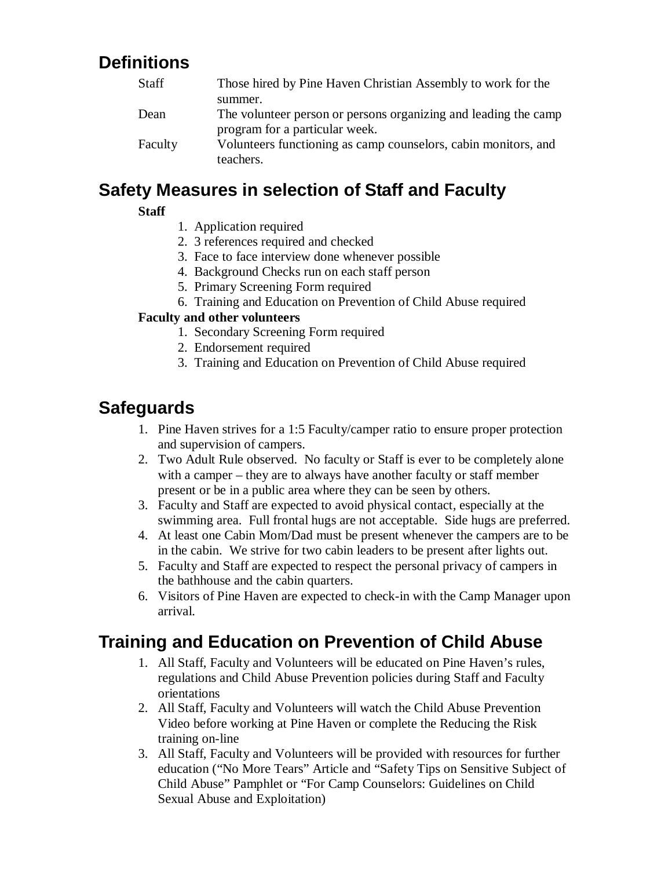# **Definitions**

| <b>Staff</b> | Those hired by Pine Haven Christian Assembly to work for the    |
|--------------|-----------------------------------------------------------------|
|              | summer.                                                         |
| Dean         | The volunteer person or persons organizing and leading the camp |
|              | program for a particular week.                                  |
| Faculty      | Volunteers functioning as camp counselors, cabin monitors, and  |
|              | teachers.                                                       |

## **Safety Measures in selection of Staff and Faculty**

#### **Staff**

- 1. Application required
- 2. 3 references required and checked
- 3. Face to face interview done whenever possible
- 4. Background Checks run on each staff person
- 5. Primary Screening Form required
- 6. Training and Education on Prevention of Child Abuse required

#### **Faculty and other volunteers**

- 1. Secondary Screening Form required
- 2. Endorsement required
- 3. Training and Education on Prevention of Child Abuse required

### **Safeguards**

- 1. Pine Haven strives for a 1:5 Faculty/camper ratio to ensure proper protection and supervision of campers.
- 2. Two Adult Rule observed. No faculty or Staff is ever to be completely alone with a camper – they are to always have another faculty or staff member present or be in a public area where they can be seen by others.
- 3. Faculty and Staff are expected to avoid physical contact, especially at the swimming area. Full frontal hugs are not acceptable. Side hugs are preferred.
- 4. At least one Cabin Mom/Dad must be present whenever the campers are to be in the cabin. We strive for two cabin leaders to be present after lights out.
- 5. Faculty and Staff are expected to respect the personal privacy of campers in the bathhouse and the cabin quarters.
- 6. Visitors of Pine Haven are expected to check-in with the Camp Manager upon arrival.

# **Training and Education on Prevention of Child Abuse**

- 1. All Staff, Faculty and Volunteers will be educated on Pine Haven's rules, regulations and Child Abuse Prevention policies during Staff and Faculty orientations
- 2. All Staff, Faculty and Volunteers will watch the Child Abuse Prevention Video before working at Pine Haven or complete the Reducing the Risk training on-line
- 3. All Staff, Faculty and Volunteers will be provided with resources for further education ("No More Tears" Article and "Safety Tips on Sensitive Subject of Child Abuse" Pamphlet or "For Camp Counselors: Guidelines on Child Sexual Abuse and Exploitation)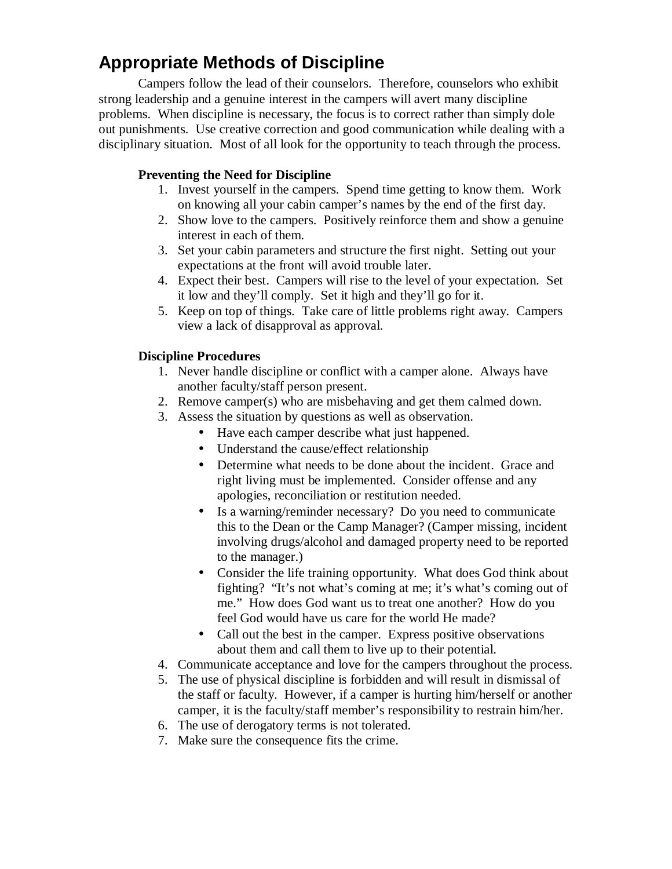# **Appropriate Methods of Discipline**

Campers follow the lead of their counselors. Therefore, counselors who exhibit strong leadership and a genuine interest in the campers will avert many discipline problems. When discipline is necessary, the focus is to correct rather than simply dole out punishments. Use creative correction and good communication while dealing with a disciplinary situation. Most of all look for the opportunity to teach through the process.

#### **Preventing the Need for Discipline**

- 1. Invest yourself in the campers. Spend time getting to know them. Work on knowing all your cabin camper's names by the end of the first day.
- 2. Show love to the campers. Positively reinforce them and show a genuine interest in each of them.
- 3. Set your cabin parameters and structure the first night. Setting out your expectations at the front will avoid trouble later.
- 4. Expect their best. Campers will rise to the level of your expectation. Set it low and they'll comply. Set it high and they'll go for it.
- 5. Keep on top of things. Take care of little problems right away. Campers view a lack of disapproval as approval.

#### **Discipline Procedures**

- 1. Never handle discipline or conflict with a camper alone. Always have another faculty/staff person present.
- 2. Remove camper(s) who are misbehaving and get them calmed down.
- 3. Assess the situation by questions as well as observation.
	- Have each camper describe what just happened.
	- Understand the cause/effect relationship
	- Determine what needs to be done about the incident. Grace and right living must be implemented. Consider offense and any apologies, reconciliation or restitution needed.
	- Is a warning/reminder necessary? Do you need to communicate this to the Dean or the Camp Manager? (Camper missing, incident involving drugs/alcohol and damaged property need to be reported to the manager.)
	- Consider the life training opportunity. What does God think about fighting? "It's not what's coming at me; it's what's coming out of me." How does God want us to treat one another? How do you feel God would have us care for the world He made?
	- Call out the best in the camper. Express positive observations about them and call them to live up to their potential.
- 4. Communicate acceptance and love for the campers throughout the process.
- 5. The use of physical discipline is forbidden and will result in dismissal of the staff or faculty. However, if a camper is hurting him/herself or another camper, it is the faculty/staff member's responsibility to restrain him/her.
- 6. The use of derogatory terms is not tolerated.
- 7. Make sure the consequence fits the crime.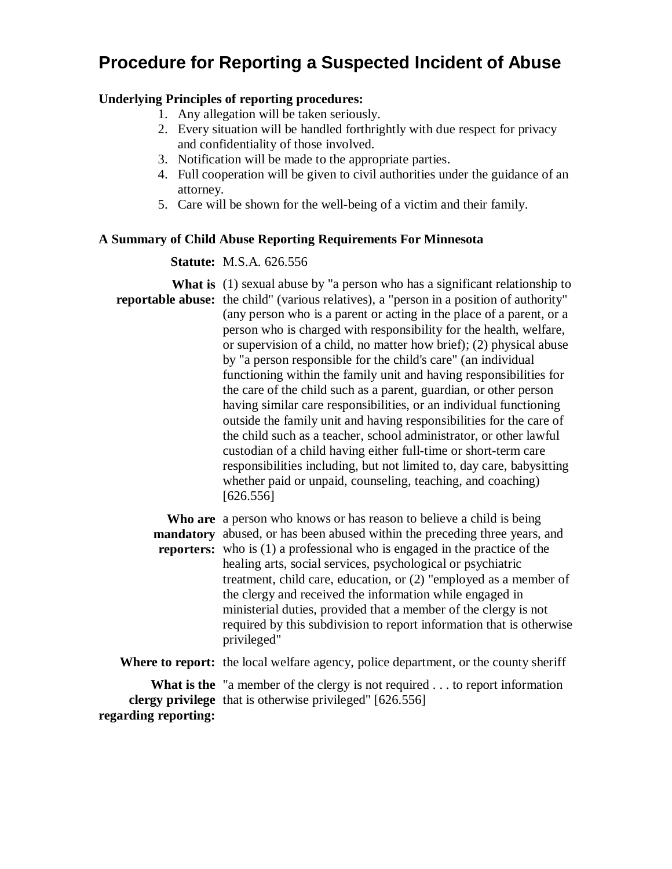### **Procedure for Reporting a Suspected Incident of Abuse**

#### **Underlying Principles of reporting procedures:**

- 1. Any allegation will be taken seriously.
- 2. Every situation will be handled forthrightly with due respect for privacy and confidentiality of those involved.
- 3. Notification will be made to the appropriate parties.
- 4. Full cooperation will be given to civil authorities under the guidance of an attorney.
- 5. Care will be shown for the well-being of a victim and their family.

#### **A Summary of Child Abuse Reporting Requirements For Minnesota**

#### **Statute:** M.S.A. 626.556

**What is** (1) sexual abuse by "a person who has a significant relationship to **reportable abuse:** the child" (various relatives), a "person in a position of authority" (any person who is a parent or acting in the place of a parent, or a person who is charged with responsibility for the health, welfare, or supervision of a child, no matter how brief); (2) physical abuse by "a person responsible for the child's care" (an individual functioning within the family unit and having responsibilities for the care of the child such as a parent, guardian, or other person having similar care responsibilities, or an individual functioning outside the family unit and having responsibilities for the care of the child such as a teacher, school administrator, or other lawful custodian of a child having either full-time or short-term care responsibilities including, but not limited to, day care, babysitting whether paid or unpaid, counseling, teaching, and coaching) [626.556]

**Who are** a person who knows or has reason to believe a child is being **mandatory** abused, or has been abused within the preceding three years, and **reporters:** who is (1) a professional who is engaged in the practice of the healing arts, social services, psychological or psychiatric treatment, child care, education, or (2) "employed as a member of the clergy and received the information while engaged in ministerial duties, provided that a member of the clergy is not required by this subdivision to report information that is otherwise privileged" **Where to report:** the local welfare agency, police department, or the county sheriff

What is the "a member of the clergy is not required . . . to report information **clergy privilege** that is otherwise privileged" [626.556] **regarding reporting:**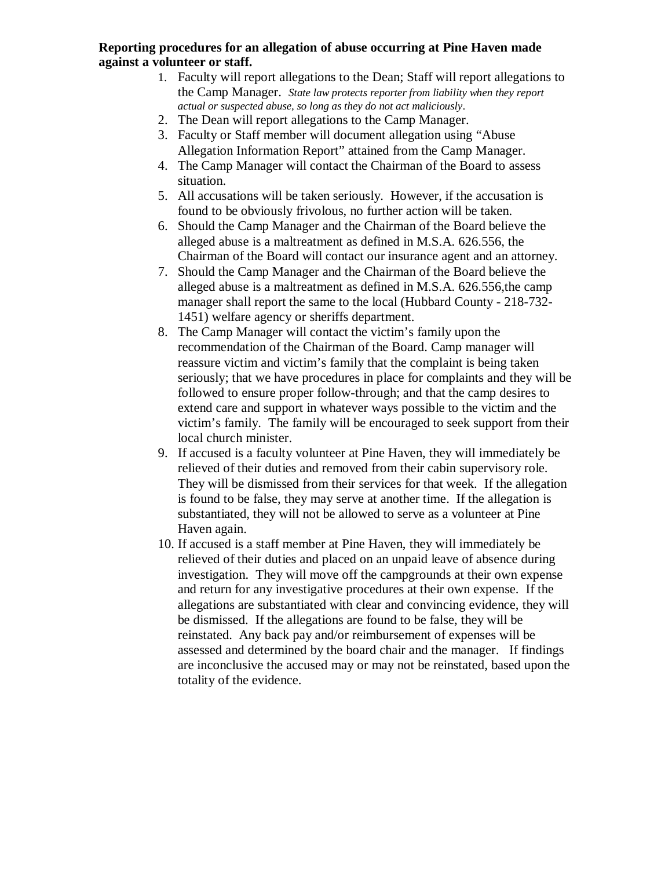#### **Reporting procedures for an allegation of abuse occurring at Pine Haven made against a volunteer or staff.**

- 1. Faculty will report allegations to the Dean; Staff will report allegations to the Camp Manager. *State law protects reporter from liability when they report actual or suspected abuse, so long as they do not act maliciously*.
- 2. The Dean will report allegations to the Camp Manager.
- 3. Faculty or Staff member will document allegation using "Abuse Allegation Information Report" attained from the Camp Manager.
- 4. The Camp Manager will contact the Chairman of the Board to assess situation.
- 5. All accusations will be taken seriously. However, if the accusation is found to be obviously frivolous, no further action will be taken.
- 6. Should the Camp Manager and the Chairman of the Board believe the alleged abuse is a maltreatment as defined in M.S.A. 626.556, the Chairman of the Board will contact our insurance agent and an attorney.
- 7. Should the Camp Manager and the Chairman of the Board believe the alleged abuse is a maltreatment as defined in M.S.A. 626.556,the camp manager shall report the same to the local (Hubbard County - 218-732- 1451) welfare agency or sheriffs department.
- 8. The Camp Manager will contact the victim's family upon the recommendation of the Chairman of the Board. Camp manager will reassure victim and victim's family that the complaint is being taken seriously; that we have procedures in place for complaints and they will be followed to ensure proper follow-through; and that the camp desires to extend care and support in whatever ways possible to the victim and the victim's family. The family will be encouraged to seek support from their local church minister.
- 9. If accused is a faculty volunteer at Pine Haven, they will immediately be relieved of their duties and removed from their cabin supervisory role. They will be dismissed from their services for that week. If the allegation is found to be false, they may serve at another time. If the allegation is substantiated, they will not be allowed to serve as a volunteer at Pine Haven again.
- 10. If accused is a staff member at Pine Haven, they will immediately be relieved of their duties and placed on an unpaid leave of absence during investigation. They will move off the campgrounds at their own expense and return for any investigative procedures at their own expense. If the allegations are substantiated with clear and convincing evidence, they will be dismissed. If the allegations are found to be false, they will be reinstated. Any back pay and/or reimbursement of expenses will be assessed and determined by the board chair and the manager. If findings are inconclusive the accused may or may not be reinstated, based upon the totality of the evidence.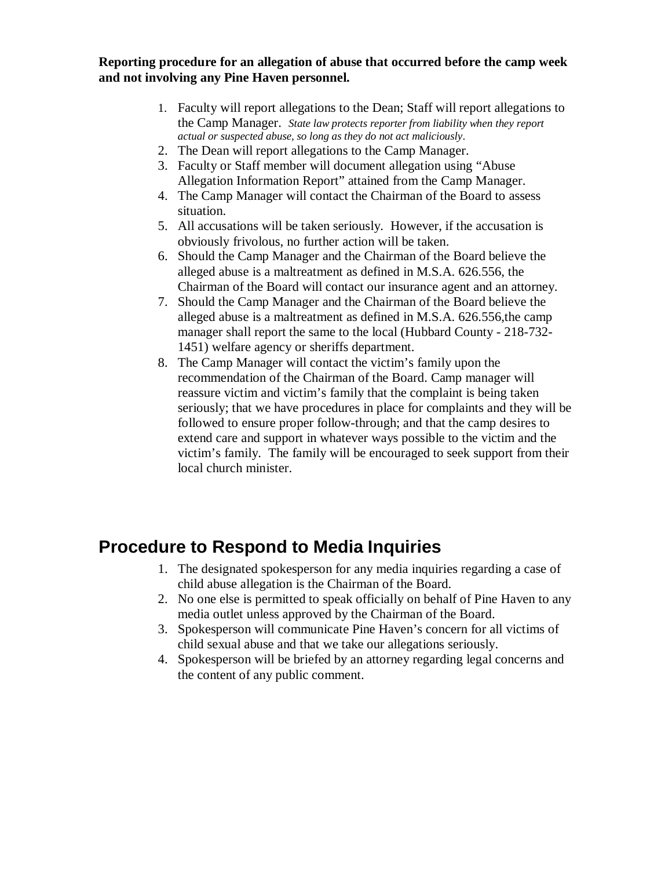**Reporting procedure for an allegation of abuse that occurred before the camp week and not involving any Pine Haven personnel.** 

- 1. Faculty will report allegations to the Dean; Staff will report allegations to the Camp Manager. *State law protects reporter from liability when they report actual or suspected abuse, so long as they do not act maliciously*.
- 2. The Dean will report allegations to the Camp Manager.
- 3. Faculty or Staff member will document allegation using "Abuse Allegation Information Report" attained from the Camp Manager.
- 4. The Camp Manager will contact the Chairman of the Board to assess situation.
- 5. All accusations will be taken seriously. However, if the accusation is obviously frivolous, no further action will be taken.
- 6. Should the Camp Manager and the Chairman of the Board believe the alleged abuse is a maltreatment as defined in M.S.A. 626.556, the Chairman of the Board will contact our insurance agent and an attorney.
- 7. Should the Camp Manager and the Chairman of the Board believe the alleged abuse is a maltreatment as defined in M.S.A. 626.556,the camp manager shall report the same to the local (Hubbard County - 218-732- 1451) welfare agency or sheriffs department.
- 8. The Camp Manager will contact the victim's family upon the recommendation of the Chairman of the Board. Camp manager will reassure victim and victim's family that the complaint is being taken seriously; that we have procedures in place for complaints and they will be followed to ensure proper follow-through; and that the camp desires to extend care and support in whatever ways possible to the victim and the victim's family. The family will be encouraged to seek support from their local church minister.

### **Procedure to Respond to Media Inquiries**

- 1. The designated spokesperson for any media inquiries regarding a case of child abuse allegation is the Chairman of the Board.
- 2. No one else is permitted to speak officially on behalf of Pine Haven to any media outlet unless approved by the Chairman of the Board.
- 3. Spokesperson will communicate Pine Haven's concern for all victims of child sexual abuse and that we take our allegations seriously.
- 4. Spokesperson will be briefed by an attorney regarding legal concerns and the content of any public comment.